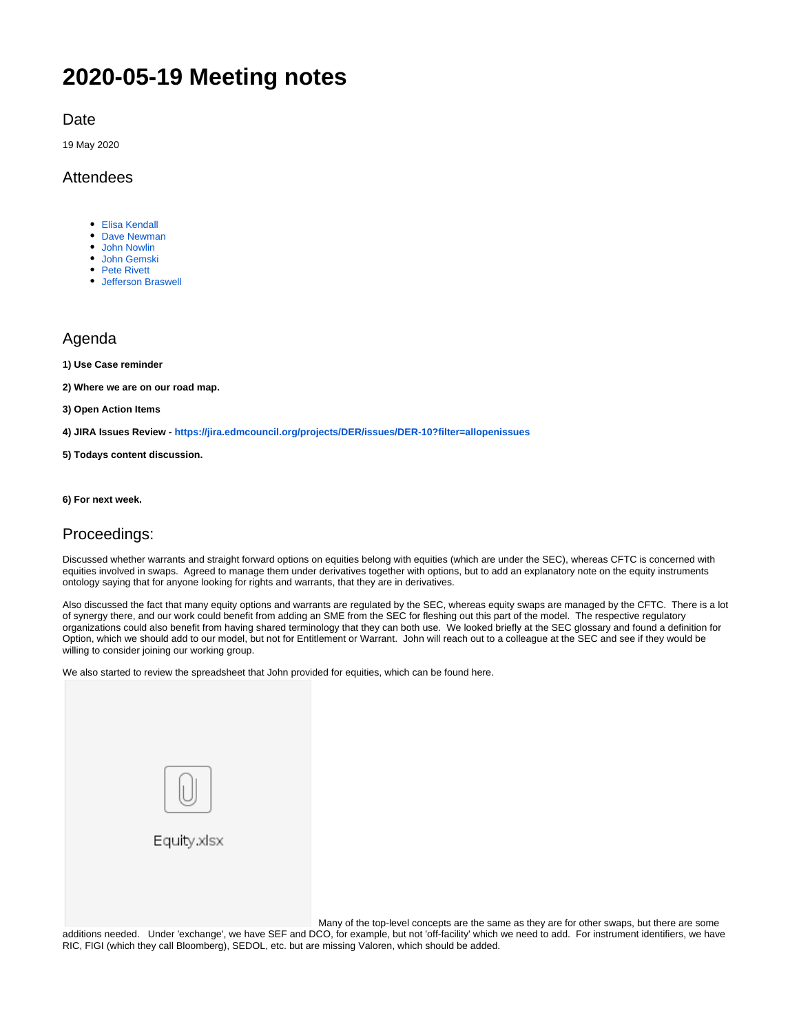# **2020-05-19 Meeting notes**

Date

19 May 2020

#### Attendees

- [Elisa Kendall](https://wiki.edmcouncil.org/display/~ElisaKendall)
- [Dave Newman](https://wiki.edmcouncil.org/display/~dsnewman)
- [John Nowlin](https://wiki.edmcouncil.org/display/~jnowlin) [John Gemski](https://wiki.edmcouncil.org/display/~jgemski)
- [Pete Rivett](https://wiki.edmcouncil.org/display/~rivettp)
- [Jefferson Braswell](https://wiki.edmcouncil.org/display/~ljb)

#### Agenda

**1) Use Case reminder**

**2) Where we are on our road map.** 

**3) Open Action Items**

**4) JIRA Issues Review - <https://jira.edmcouncil.org/projects/DER/issues/DER-10?filter=allopenissues>**

**5) Todays content discussion.**

**6) For next week.**

#### Proceedings:

Discussed whether warrants and straight forward options on equities belong with equities (which are under the SEC), whereas CFTC is concerned with equities involved in swaps. Agreed to manage them under derivatives together with options, but to add an explanatory note on the equity instruments ontology saying that for anyone looking for rights and warrants, that they are in derivatives.

Also discussed the fact that many equity options and warrants are regulated by the SEC, whereas equity swaps are managed by the CFTC. There is a lot of synergy there, and our work could benefit from adding an SME from the SEC for fleshing out this part of the model. The respective regulatory organizations could also benefit from having shared terminology that they can both use. We looked briefly at the SEC glossary and found a definition for Option, which we should add to our model, but not for Entitlement or Warrant. John will reach out to a colleague at the SEC and see if they would be willing to consider joining our working group.

We also started to review the spreadsheet that John provided for equities, which can be found here.



Many of the top-level concepts are the same as they are for other swaps, but there are some

additions needed. Under 'exchange', we have SEF and DCO, for example, but not 'off-facility' which we need to add. For instrument identifiers, we have RIC, FIGI (which they call Bloomberg), SEDOL, etc. but are missing Valoren, which should be added.